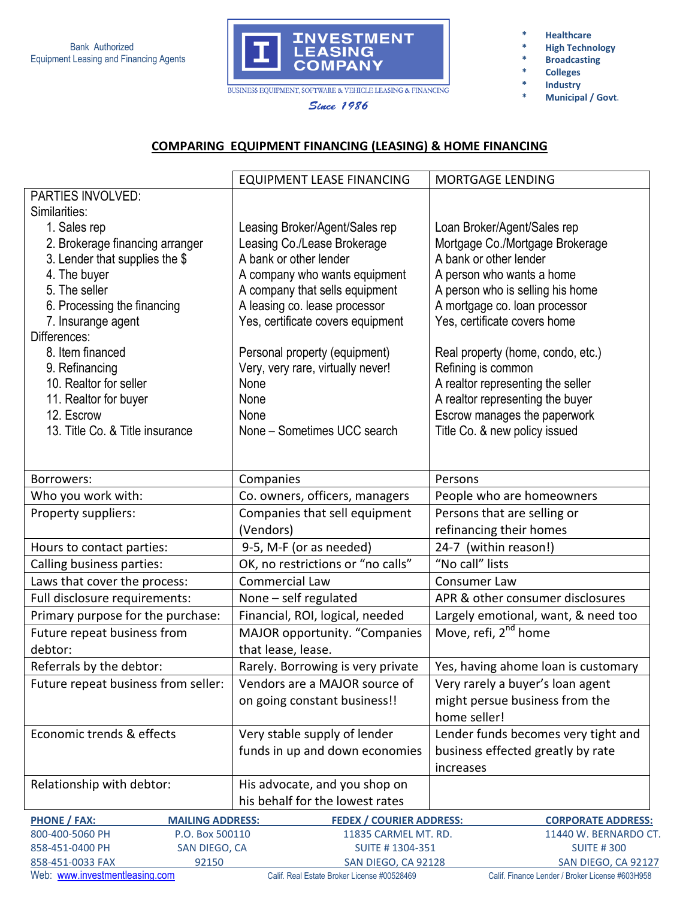

**Since 1986** 

**\* Healthcare** 

- **High Technology**
- **\* Broadcasting**
- **\* Colleges**
- **\* Industry** 
	- **\* Municipal / Govt.**

**COMPARING EQUIPMENT FINANCING (LEASING) & HOME FINANCING**

|                                                     | <b>EQUIPMENT LEASE FINANCING</b>  | <b>MORTGAGE LENDING</b>             |
|-----------------------------------------------------|-----------------------------------|-------------------------------------|
| PARTIES INVOLVED:                                   |                                   |                                     |
| Similarities:                                       |                                   |                                     |
| 1. Sales rep                                        | Leasing Broker/Agent/Sales rep    | Loan Broker/Agent/Sales rep         |
| 2. Brokerage financing arranger                     | Leasing Co./Lease Brokerage       | Mortgage Co./Mortgage Brokerage     |
| 3. Lender that supplies the \$                      | A bank or other lender            | A bank or other lender              |
| 4. The buyer                                        | A company who wants equipment     | A person who wants a home           |
| 5. The seller                                       | A company that sells equipment    | A person who is selling his home    |
| 6. Processing the financing                         | A leasing co. lease processor     | A mortgage co. loan processor       |
| 7. Insurange agent                                  | Yes, certificate covers equipment | Yes, certificate covers home        |
| Differences:                                        |                                   |                                     |
| 8. Item financed                                    | Personal property (equipment)     | Real property (home, condo, etc.)   |
| 9. Refinancing                                      | Very, very rare, virtually never! | Refining is common                  |
| 10. Realtor for seller                              | None                              | A realtor representing the seller   |
| 11. Realtor for buyer                               | None                              | A realtor representing the buyer    |
| 12. Escrow                                          | None                              | Escrow manages the paperwork        |
| 13. Title Co. & Title insurance                     | None - Sometimes UCC search       | Title Co. & new policy issued       |
|                                                     |                                   |                                     |
|                                                     |                                   |                                     |
| Borrowers:                                          | Companies                         | Persons                             |
| Who you work with:                                  | Co. owners, officers, managers    | People who are homeowners           |
| Property suppliers:                                 | Companies that sell equipment     | Persons that are selling or         |
|                                                     | (Vendors)                         | refinancing their homes             |
| Hours to contact parties:                           | 9-5, M-F (or as needed)           | 24-7 (within reason!)               |
| Calling business parties:                           | OK, no restrictions or "no calls" | "No call" lists                     |
| Laws that cover the process:                        | <b>Commercial Law</b>             | Consumer Law                        |
| Full disclosure requirements:                       | None $-$ self regulated           | APR & other consumer disclosures    |
| Primary purpose for the purchase:                   | Financial, ROI, logical, needed   | Largely emotional, want, & need too |
| Future repeat business from                         | MAJOR opportunity. "Companies     | Move, refi, 2 <sup>nd</sup> home    |
| debtor:                                             | that lease, lease.                |                                     |
| Referrals by the debtor:                            | Rarely. Borrowing is very private | Yes, having ahome loan is customary |
| Future repeat business from seller:                 | Vendors are a MAJOR source of     | Very rarely a buyer's loan agent    |
|                                                     | on going constant business!!      | might persue business from the      |
|                                                     |                                   | home seller!                        |
| Economic trends & effects                           | Very stable supply of lender      | Lender funds becomes very tight and |
|                                                     | funds in up and down economies    | business effected greatly by rate   |
|                                                     |                                   | increases                           |
| Relationship with debtor:                           | His advocate, and you shop on     |                                     |
|                                                     | his behalf for the lowest rates   |                                     |
| <b>PHONE / FAX:</b><br><b>MAILING ADDRESS:</b>      | <b>FEDEX / COURIER ADDRESS:</b>   | <b>CORPORATE ADDRESS:</b>           |
| 800-400-5060 PH<br>P.O. Box 500110                  | 11835 CARMEL MT. RD.              | 11440 W. BERNARDO CT.               |
| 858-451-0400 PH<br>SUITE #1304-351<br>SAN DIEGO, CA |                                   | <b>SUITE #300</b>                   |
| 858-451-0033 FAX<br>92150                           | SAN DIEGO, CA 92128               | SAN DIEGO, CA 92127                 |

Web: www.investmentleasing.com Calif. Real Estate Broker License #00528469 Calif. Finance Lender / Broker License #603H958